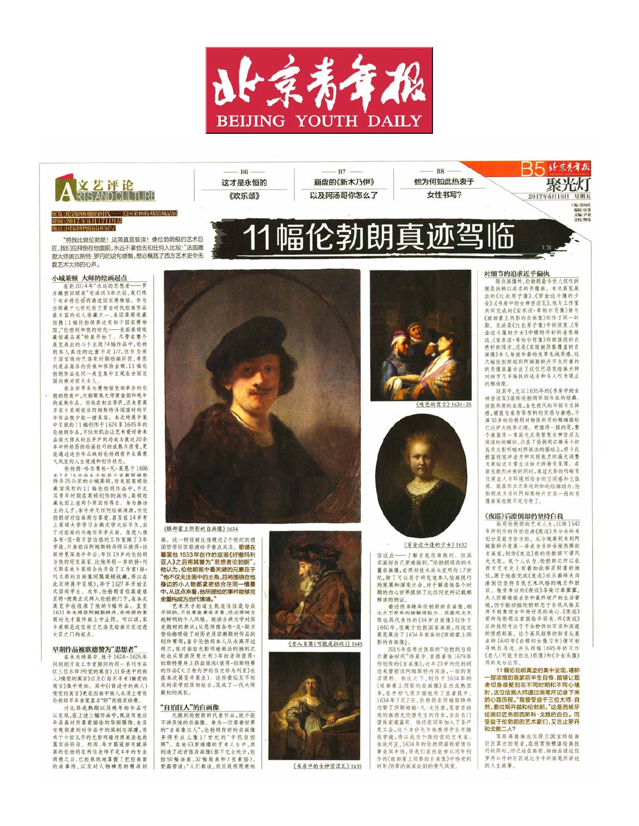

幅伦勃

 $R7 -$ 

崩盘的《新木乃伊》

以及阿汤哥你怎么了

明



#### 展览:伦勃朗和他的时代——美国莱顿收藏馆藏品展 时间:2017年6月17日开幕 地点 国家博物馆南 SEL

"将我比做伦勃朗!这简直是亵渎!像伦勃朗般的艺术巨 匠,我们应拜倒在他面前,永远不拿他去和任何人比较!"法国雕 塑大师奥古斯特·罗丹的这句感慨,想必概括了西方艺术史中无 数艺术大师的心声。

#### 小城菜顿 大师的绘画起点

在距2014年"永远的思想者——罗<br>丹雕型回顾展"完成近3年之后,我们终 干有幸将伦特朗请进国家博物馆。作为 全球藏十七世纪荷兰黄金时代绘画作品 最丰富的私人收藏之一,美国莱顿收藏 馆携11幅伦勃明真迹亮相于国家博物 馆,"伦勃朗和他的时代——美国莱顿收 藏馆藏品展"特展开始了。尽管在整个 展览展出的六个主题74幅作品中,伦勃 组本人真迹的比重不足1/7.但作为荷 兰国宝级的巴洛克时期绘画巨匠,考虑 到展品高昂的价值和保险金额,11幅伦 勃朗作品在同一展览集中呈现在全国范 图内绝对前无古人

在全世界各大博物馆竟相举办的伦 勃朗特展中,大都聚焦大师黄金期和晚年<br>的成熟作品。而他在初出茅庐,还未曾离 开家乡莱顿前往阿姆斯特丹闯荡时的早 年作品极少能一睹真空, 本次特属中集 中呈现的11幅创作于1624至1645年的 伦勃朗作品,不仅有机会让艺术爱好者来 品读大师从初出茅庐到功成名就这20余 年中所经历的绘画技巧的成熟与改变,更 能通过这些作品映射伦勃朗前半生最意 气风发的人生境遇和创作状态。

伦勃朗·哈尔曼松·凡·莱恩于1606 年7日15日山生干部益兰首都阿姆斯<br>特丹25公里的小城菜顿, 西美国菜顿收 藏馆现有的11幅伦勃朗作品中,不乏 其青年时期在莱顿创作的画作,莱顿收 藏也因上述两个原因而得名。身为廢坊<br>主的儿子,家中并无任何绘画渊源,但伦 勃朗却对绘画颜为喜爱,甚至在14岁考 上莱顿大学学习古典文学之后不久,出 于对绘画的兴趣而弃学从画。在进入雅 各布·范·斯万登伯格的工作室做了3年 肇徒,只身前往阿姆斯特丹缅从彼得·拉 斯特曼深造半年后,年仅19岁的伦勃朗 与他的好友画家,比他年轻一岁的扬·列 文斯在故乡莱顿合伙开设了工作室(扬, 列文斯的自画像同属菜顿收藏,得以在 此次特展中呈现),并于1627年开始正 式招收学生。次年,伦勃朗首位高徒格<br>里特·德奥正式拜入伦勃朗门下,在本次 展览中也收录了他的9幅作品, 1631年末移居阿姆斯特丹, 伦勃朗的莱 顿时光才最终画上中止符。可以说,家 乡莱顿是这位荷兰巴洛克绘画巨匠迈进 大匠之门的起点。

### 早期作品被歌德赞为"思想者

在本次特展中,他于1624-1625年<br>间刚刚开设工作室期间的同一系列作品 《(三位乐师)听觉的寓言》、《(昏迷中的病 人)嗅觉的寓言》以及《(结石手术)触觉的 寓言》集中亮相。其中《(昏迷中的病人) 嗅觉的寓言)更是因画中病人头顶上带有 伦勃朗早年亲笔签名"RF"而弥足珍贵。

对比其成熟期以及晚年的作品可 以发现, 在上述三幅作品中, 既没有他壮 年最盛时所喜爱描绘的华丽服饰,也没 有晚期潦倒时作品中的深刻与深邃,传 承于卡拉瓦乔的光影明暗对照画法也尚 属实验阶段。然而,年方弱冠却天赋异 禀的伦勃朗在两位老师不足4年的专业 调教之后,已经熟练地掌握了把控画面 的故事性,以及对人物神态的精准刻



**R**<sub>6</sub>

这才是永恒的

《欢乐颂》

《眼部蒙上阴影的自画像》1634

这一特征被比他晚近2个世纪的德 国哲学巨匠政绩给予重占关注。歌德在 看罢他1633年创作的版画《好撒玛利 亚人》之后将其誉为"思想者伦勃朗" 他认为,伦勃朗画中最关键的元素在于 他不仅关注画中的主角,且将围绕在他 身边的小人物都紧密结合在同一情景 中,从这点来看,他所描绘的事件能够完<br>全重构成为当代情境。"

王里的DKANTIV即通。<br>第一次天天的诞生轨迹往往是与众人的人不仅要能兼收并蓄,还必须树立<br>起鲜明的个人风格。就读古典文学对历史 登伯格吸收了对历史及宗教题材作品的 创作要领;鉴于伦勃朗本人从未离开过 荷兰,他对描绘光影明暗画法的纯到之 处也从曾游历意大利3年的老师彼得· 拉斯特曼身上获益匪浅(彼得·拉斯特曼 的作品《大卫将的押的信交给乌利亚》也 在本次展览中展出)。这些看似互不相 关的求学经历相结合,促成了一代大师 最初的成长。

### "自拍狂人"的自画像

**不涉及他的的物质**<br><br>不涉及他的自画像。身为一位享誉世界 的"自画像狂人", 伦勃朗存世的自画像 多得有点儿像17世纪的"手机自拍 照"。在他63岁璀璨的艺术人生中,共 创造了近百张自画像(据不完全统计,包 括50幅油画,32幅版画和7张素描) 焚高曾说:"人们都说,而且我很愿意相



《书房中的女神密涅瓦》 1635



《嗅觉的寓言》 1624-25

**B8** 

他为何如此热衷于

女性书写?



《穿金边斗篷的少女》1632

信这点 -- 了解自我很难做到。但其<br>实画好自己更难做到。"伦勃朗现存的大 量自画像,在照相技术尚未发明的17世 纪、除了可以用于研究他本人给画技巧 的发展和演变之余,对于解读他各个时 期的内心世界提供了比任何史料记载都 鲜活的例证。

看过很多晚年伦勃朗的自画像,相 · 若及以少使触得较少。其最风光无<br>限也具代表性的《34岁自画像》创作于 1640年,收藏于伦敦国家画廊,而这次 展览展出了1634年前高的《眼部蒙上阴 影的自画像》。

2015年在布达佩斯的"伦勃朗与荷 兰黄金时代"特展中, 曾摆着他1629年<br>所创作的《自画像》, 时年23岁的伦勃明 还未曾前往阿姆斯特丹闹荡,一脸的青<br>涩质朴。相比之下,创作于1634年的<br>《眼部蒙上阴影的自画像》显然成熟很 多,在外形气质方面也有了显著提升。<br>1634年7月2日,伦勃朗在阿姆斯特丹 迎娶了莎斯姬娅·凡·尤伦堡,是曾资明 他的画商尤伦堡先生的侄女,出自名门 他的曲网为元宝元王的任义, 50日有1<br>望族家境富有。他还在同年加入了圣卢<br>克工会,这个身份允许他教授学生并接 收学徒,得以成为个体经营的艺术家 由此可见,1634年的伦勃朗堪称爱情与 事业双丰收,而我们星然能够从同年创 作的《眼部蒙上阴影的自画像》中感受到 时年28岁的画家此刻的意气风发。

## 对细节的追求近乎偏执

21311 11131213 2021 1 11132<br>陈自画像外,伦勃朗最令世人惊叹的便是他赖以成名的肖像画。本次展览展<br>出的《红衣男子像》、《穿金边斗篷的少 女》、《书房中的女神密涅瓦》、他与工作室 共同空虚的《安东涅·库帕尔肖像》皆与 《眼部蒙上阴影的自画像》创作于同一时 期。无论是《红衣男子像》中的须发、《穿 金边斗篷的少女》中模特开衫的金色锋 边、《安东涅·库帕尔肖像》颈部围绕的白 色针织项巾,还是《双眼被阴影覆盖的自 写像》太人身披外套的皮盖手绒质成,这 几幅伦勃朗刚到阿姆斯特丹不久所委约 的肖像画展示出了这位巴洛克绘画大师 对细节几乎偏执的追求和令人叹为观止 的精准度。

Aleする蛋お

星期五 19741911

编辑/史料<br>美编/共*科* 

2017年6月16日

这其中,尤以1635年的《书房中的女 神密涅瓦》堪称伦勃朗早期作品的经典。 披数双肩的金发,金色披风的华丽与立体 感,裙装与桌布等布料的质感与垂感,不 满30岁的伦勃朗对物体材质的精确描绘 已达炉火纯青之境。更值得一提的是,整 个画面用一束高光点亮智慧女神密涅瓦 阅读时的瞬间,凸显了伦勃朗在继承卡拉 瓦乔光影明暗对照画法的基础上,将卡氏 极富视觉冲击力和戏剧张力的高光调整 为更贴近日常生活快光的渐变氛围。在 弱化副烈冲突的同时,通过光影的明暗变 化突出人与环境相结合的空间感和立体 成。修在而立之年达到如此给属功力。伦 物朗成为当时阿姆斯特丹首屈一指的肖 像画家也就不足为奇了。

### 《夜巡》后潦倒却仍坚持自我

纵观伦勃朗的艺术人生,以他1642 年所创作的传世经典《夜巡》为分水岭来 划分是最为恰当的。从小城菜顿来到阿<br>姆斯特丹发展一举成为当时全城热捧的 名画家,创作《夜巡》前的伦勃朗可谓风 光无限。我个人认为,伦勃朗之所以在<br>西方艺术史上有着如此举足轻重的地 位,源于他在完成《夜巡》后从巅峰走向 潦倒仍坚持自我艺术风格的魄力和胆 识。 做受争议的《夜巡》导致订单寥寥。 人莎斯姬娅去世和最终破产的生活窘 墙,仍不能动摇伶勃朗忠于自我风格自 刘意迎合市场好恶的决心。《夜巡》 前的伦勃朗注重描绘华丽美,而《夜巡》 后的他则专注于不加粉饰的写实和深邃 的情感刻画。这个画风趋势的转变从展 出的1640年《白帽妇女像习作》便可初 寻蛛丝马迹,并从两幅1645年的习作 老人(可能为拉比)肖像)和《少女头像》 得到充分证实。

11幅伦勃朗真迹的集中呈现,堪称 部浓缩的画家前半生自传,能够让观 者切身感受到在不同时期和不同心境 时,这位绘画大师通过画笔所记录下来 的心路历程。"我曾受益于三位大师:自 。<br>然,委拉斯开兹和伦勃朗。"这是西班牙<br>绘画巨匠弗朗西斯科·戈雅的自白。而 受益于伦勃朗的艺术家们,又岂止罗丹 和戈雅二人?

零距离接触这位荷兰国宝级绘画 巨匠真迹的观者,在欣赏他精湛绘画技 巧的同时,切记站在画前,细细品读这位<br>罗丹口中的巨匠通过手中的画笔所讲述 的人生故事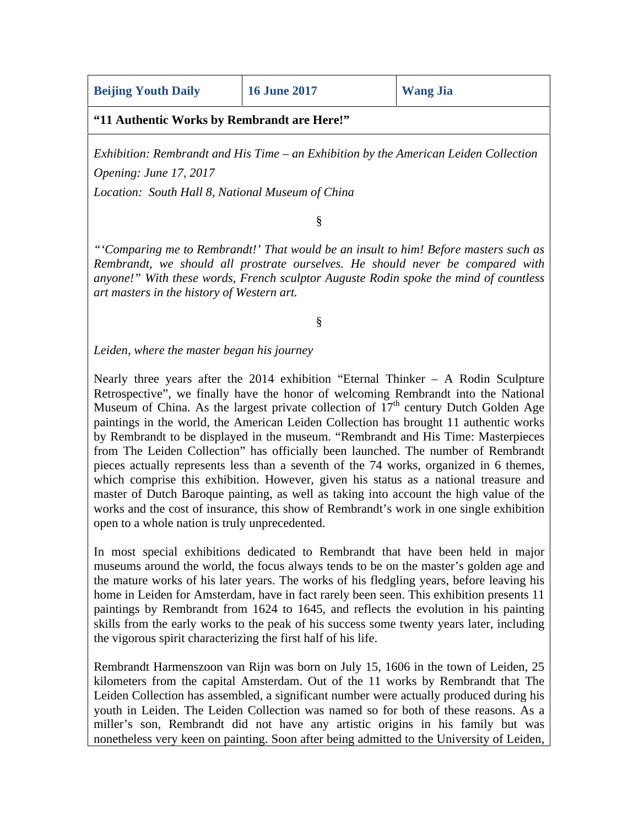|  |  | <b>Beijing Youth Daily</b> |  |  |
|--|--|----------------------------|--|--|
|  |  |                            |  |  |

**"11 Authentic Works by Rembrandt are Here!"**

*Exhibition: Rembrandt and His Time – an Exhibition by the American Leiden Collection Opening: June 17, 2017*

*Location: South Hall 8, National Museum of China*

§

*"'Comparing me to Rembrandt!' That would be an insult to him! Before masters such as Rembrandt, we should all prostrate ourselves. He should never be compared with anyone!" With these words, French sculptor Auguste Rodin spoke the mind of countless art masters in the history of Western art.*

§

*Leiden, where the master began his journey*

Nearly three years after the 2014 exhibition "Eternal Thinker – A Rodin Sculpture Retrospective", we finally have the honor of welcoming Rembrandt into the National Museum of China. As the largest private collection of  $17<sup>th</sup>$  century Dutch Golden Age paintings in the world, the American Leiden Collection has brought 11 authentic works by Rembrandt to be displayed in the museum. "Rembrandt and His Time: Masterpieces from The Leiden Collection" has officially been launched. The number of Rembrandt pieces actually represents less than a seventh of the 74 works, organized in 6 themes, which comprise this exhibition. However, given his status as a national treasure and master of Dutch Baroque painting, as well as taking into account the high value of the works and the cost of insurance, this show of Rembrandt's work in one single exhibition open to a whole nation is truly unprecedented.

In most special exhibitions dedicated to Rembrandt that have been held in major museums around the world, the focus always tends to be on the master's golden age and the mature works of his later years. The works of his fledgling years, before leaving his home in Leiden for Amsterdam, have in fact rarely been seen. This exhibition presents 11 paintings by Rembrandt from 1624 to 1645, and reflects the evolution in his painting skills from the early works to the peak of his success some twenty years later, including the vigorous spirit characterizing the first half of his life.

Rembrandt Harmenszoon van Rijn was born on July 15, 1606 in the town of Leiden, 25 kilometers from the capital Amsterdam. Out of the 11 works by Rembrandt that The Leiden Collection has assembled, a significant number were actually produced during his youth in Leiden. The Leiden Collection was named so for both of these reasons. As a miller's son, Rembrandt did not have any artistic origins in his family but was nonetheless very keen on painting. Soon after being admitted to the University of Leiden,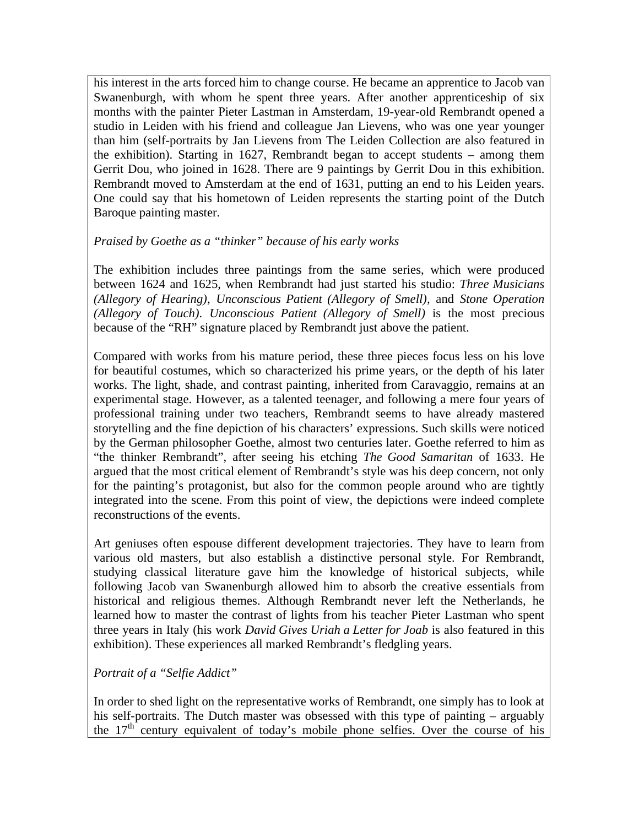his interest in the arts forced him to change course. He became an apprentice to Jacob van Swanenburgh, with whom he spent three years. After another apprenticeship of six months with the painter Pieter Lastman in Amsterdam, 19-year-old Rembrandt opened a studio in Leiden with his friend and colleague Jan Lievens, who was one year younger than him (self-portraits by Jan Lievens from The Leiden Collection are also featured in the exhibition). Starting in 1627, Rembrandt began to accept students – among them Gerrit Dou, who joined in 1628. There are 9 paintings by Gerrit Dou in this exhibition. Rembrandt moved to Amsterdam at the end of 1631, putting an end to his Leiden years. One could say that his hometown of Leiden represents the starting point of the Dutch Baroque painting master.

## *Praised by Goethe as a "thinker" because of his early works*

The exhibition includes three paintings from the same series, which were produced between 1624 and 1625, when Rembrandt had just started his studio: *Three Musicians (Allegory of Hearing)*, *Unconscious Patient (Allegory of Smell)*, and *Stone Operation (Allegory of Touch)*. *Unconscious Patient (Allegory of Smell)* is the most precious because of the "RH" signature placed by Rembrandt just above the patient.

Compared with works from his mature period, these three pieces focus less on his love for beautiful costumes, which so characterized his prime years, or the depth of his later works. The light, shade, and contrast painting, inherited from Caravaggio, remains at an experimental stage. However, as a talented teenager, and following a mere four years of professional training under two teachers, Rembrandt seems to have already mastered storytelling and the fine depiction of his characters' expressions. Such skills were noticed by the German philosopher Goethe, almost two centuries later. Goethe referred to him as "the thinker Rembrandt", after seeing his etching *The Good Samaritan* of 1633. He argued that the most critical element of Rembrandt's style was his deep concern, not only for the painting's protagonist, but also for the common people around who are tightly integrated into the scene. From this point of view, the depictions were indeed complete reconstructions of the events.

Art geniuses often espouse different development trajectories. They have to learn from various old masters, but also establish a distinctive personal style. For Rembrandt, studying classical literature gave him the knowledge of historical subjects, while following Jacob van Swanenburgh allowed him to absorb the creative essentials from historical and religious themes. Although Rembrandt never left the Netherlands, he learned how to master the contrast of lights from his teacher Pieter Lastman who spent three years in Italy (his work *David Gives Uriah a Letter for Joab* is also featured in this exhibition). These experiences all marked Rembrandt's fledgling years.

*Portrait of a "Selfie Addict"*

In order to shed light on the representative works of Rembrandt, one simply has to look at his self-portraits. The Dutch master was obsessed with this type of painting – arguably the  $17<sup>th</sup>$  century equivalent of today's mobile phone selfies. Over the course of his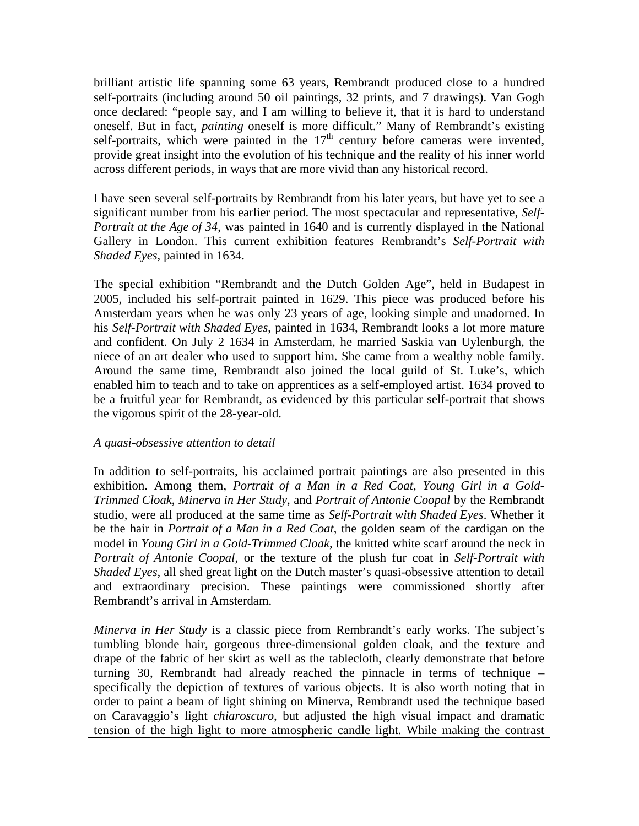brilliant artistic life spanning some 63 years, Rembrandt produced close to a hundred self-portraits (including around 50 oil paintings, 32 prints, and 7 drawings). Van Gogh once declared: "people say, and I am willing to believe it, that it is hard to understand oneself. But in fact, *painting* oneself is more difficult." Many of Rembrandt's existing self-portraits, which were painted in the  $17<sup>th</sup>$  century before cameras were invented, provide great insight into the evolution of his technique and the reality of his inner world across different periods, in ways that are more vivid than any historical record.

I have seen several self-portraits by Rembrandt from his later years, but have yet to see a significant number from his earlier period. The most spectacular and representative, *Self-Portrait at the Age of 34*, was painted in 1640 and is currently displayed in the National Gallery in London. This current exhibition features Rembrandt's *Self-Portrait with Shaded Eyes*, painted in 1634.

The special exhibition "Rembrandt and the Dutch Golden Age", held in Budapest in 2005, included his self-portrait painted in 1629. This piece was produced before his Amsterdam years when he was only 23 years of age, looking simple and unadorned. In his *Self-Portrait with Shaded Eyes*, painted in 1634, Rembrandt looks a lot more mature and confident. On July 2 1634 in Amsterdam, he married Saskia van Uylenburgh, the niece of an art dealer who used to support him. She came from a wealthy noble family. Around the same time, Rembrandt also joined the local guild of St. Luke's, which enabled him to teach and to take on apprentices as a self-employed artist. 1634 proved to be a fruitful year for Rembrandt, as evidenced by this particular self-portrait that shows the vigorous spirit of the 28-year-old.

# *A quasi-obsessive attention to detail*

In addition to self-portraits, his acclaimed portrait paintings are also presented in this exhibition. Among them, *Portrait of a Man in a Red Coat*, *Young Girl in a Gold-Trimmed Cloak*, *Minerva in Her Study*, and *Portrait of Antonie Coopal* by the Rembrandt studio, were all produced at the same time as *Self-Portrait with Shaded Eyes*. Whether it be the hair in *Portrait of a Man in a Red Coat*, the golden seam of the cardigan on the model in *Young Girl in a Gold-Trimmed Cloak*, the knitted white scarf around the neck in *Portrait of Antonie Coopal*, or the texture of the plush fur coat in *Self-Portrait with Shaded Eyes*, all shed great light on the Dutch master's quasi-obsessive attention to detail and extraordinary precision. These paintings were commissioned shortly after Rembrandt's arrival in Amsterdam.

*Minerva in Her Study* is a classic piece from Rembrandt's early works. The subject's tumbling blonde hair, gorgeous three-dimensional golden cloak, and the texture and drape of the fabric of her skirt as well as the tablecloth, clearly demonstrate that before turning 30, Rembrandt had already reached the pinnacle in terms of technique – specifically the depiction of textures of various objects. It is also worth noting that in order to paint a beam of light shining on Minerva, Rembrandt used the technique based on Caravaggio's light *chiaroscuro*, but adjusted the high visual impact and dramatic tension of the high light to more atmospheric candle light. While making the contrast